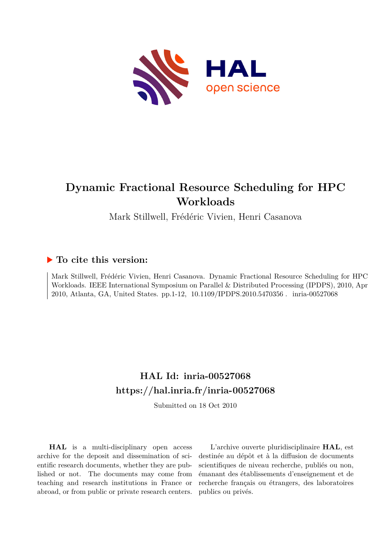

# **Dynamic Fractional Resource Scheduling for HPC Workloads**

Mark Stillwell, Frédéric Vivien, Henri Casanova

# **To cite this version:**

Mark Stillwell, Frédéric Vivien, Henri Casanova. Dynamic Fractional Resource Scheduling for HPC Workloads. IEEE International Symposium on Parallel & Distributed Processing (IPDPS), 2010, Apr 2010, Atlanta, GA, United States. pp.1-12, 10.1109/IPDPS.2010.5470356. inria-00527068

# **HAL Id: inria-00527068 <https://hal.inria.fr/inria-00527068>**

Submitted on 18 Oct 2010

**HAL** is a multi-disciplinary open access archive for the deposit and dissemination of scientific research documents, whether they are published or not. The documents may come from teaching and research institutions in France or abroad, or from public or private research centers.

L'archive ouverte pluridisciplinaire **HAL**, est destinée au dépôt et à la diffusion de documents scientifiques de niveau recherche, publiés ou non, émanant des établissements d'enseignement et de recherche français ou étrangers, des laboratoires publics ou privés.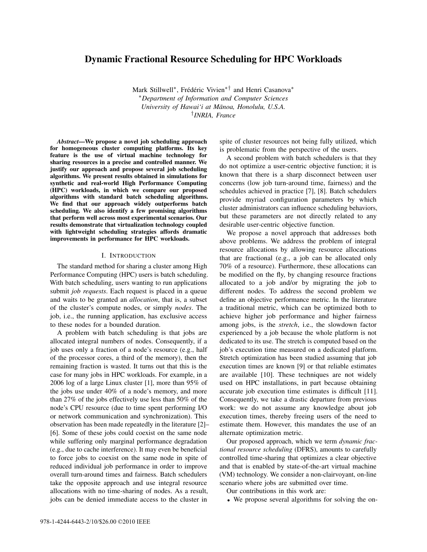# Dynamic Fractional Resource Scheduling for HPC Workloads

Mark Stillwell<sup>∗</sup>, Frédéric Vivien<sup>∗†</sup> and Henri Casanova<sup>∗</sup> <sup>∗</sup>*Department of Information and Computer Sciences*  $University$  of Hawai'i at Mānoa, Honolulu, U.S.A. † *INRIA, France*

*Abstract*—We propose a novel job scheduling approach for homogeneous cluster computing platforms. Its key feature is the use of virtual machine technology for sharing resources in a precise and controlled manner. We justify our approach and propose several job scheduling algorithms. We present results obtained in simulations for synthetic and real-world High Performance Computing (HPC) workloads, in which we compare our proposed algorithms with standard batch scheduling algorithms. We find that our approach widely outperforms batch scheduling. We also identify a few promising algorithms that perform well across most experimental scenarios. Our results demonstrate that virtualization technology coupled with lightweight scheduling strategies affords dramatic improvements in performance for HPC workloads.

#### I. INTRODUCTION

The standard method for sharing a cluster among High Performance Computing (HPC) users is batch scheduling. With batch scheduling, users wanting to run applications submit *job requests*. Each request is placed in a queue and waits to be granted an *allocation*, that is, a subset of the cluster's compute nodes, or simply *nodes*. The job, i.e., the running application, has exclusive access to these nodes for a bounded duration.

A problem with batch scheduling is that jobs are allocated integral numbers of nodes. Consequently, if a job uses only a fraction of a node's resource (e.g., half of the processor cores, a third of the memory), then the remaining fraction is wasted. It turns out that this is the case for many jobs in HPC workloads. For example, in a 2006 log of a large Linux cluster [1], more than 95% of the jobs use under 40% of a node's memory, and more than 27% of the jobs effectively use less than 50% of the node's CPU resource (due to time spent performing I/O or network communication and synchronization). This observation has been made repeatedly in the literature [2]– [6]. Some of these jobs could coexist on the same node while suffering only marginal performance degradation (e.g., due to cache interference). It may even be beneficial to force jobs to coexist on the same node in spite of reduced individual job performance in order to improve overall turn-around times and fairness. Batch schedulers take the opposite approach and use integral resource allocations with no time-sharing of nodes. As a result, jobs can be denied immediate access to the cluster in

spite of cluster resources not being fully utilized, which is problematic from the perspective of the users.

A second problem with batch schedulers is that they do not optimize a user-centric objective function; it is known that there is a sharp disconnect between user concerns (low job turn-around time, fairness) and the schedules achieved in practice [7], [8]. Batch schedulers provide myriad configuration parameters by which cluster administrators can influence scheduling behaviors, but these parameters are not directly related to any desirable user-centric objective function.

We propose a novel approach that addresses both above problems. We address the problem of integral resource allocations by allowing resource allocations that are fractional (e.g., a job can be allocated only 70% of a resource). Furthermore, these allocations can be modified on the fly, by changing resource fractions allocated to a job and/or by migrating the job to different nodes. To address the second problem we define an objective performance metric. In the literature a traditional metric, which can be optimized both to achieve higher job performance and higher fairness among jobs, is the *stretch*, i.e., the slowdown factor experienced by a job because the whole platform is not dedicated to its use. The stretch is computed based on the job's execution time measured on a dedicated platform. Stretch optimization has been studied assuming that job execution times are known [9] or that reliable estimates are available [10]. These techniques are not widely used on HPC installations, in part because obtaining accurate job execution time estimates is difficult [11]. Consequently, we take a drastic departure from previous work: we do not assume any knowledge about job execution times, thereby freeing users of the need to estimate them. However, this mandates the use of an alternate optimization metric.

Our proposed approach, which we term *dynamic fractional resource scheduling* (DFRS), amounts to carefully controlled time-sharing that optimizes a clear objective and that is enabled by state-of-the-art virtual machine (VM) technology. We consider a non-clairvoyant, on-line scenario where jobs are submitted over time.

Our contributions in this work are:

• We propose several algorithms for solving the on-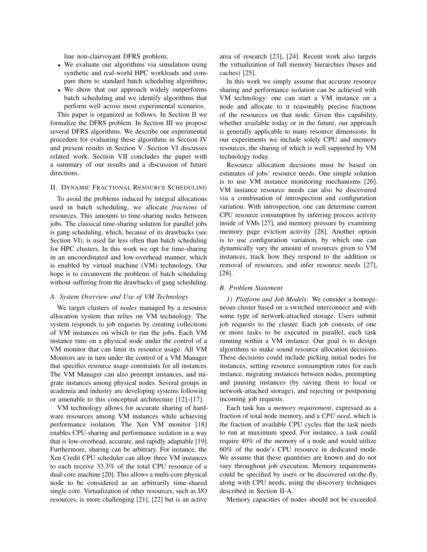line non-clairvoyant DFRS problem;

- We evaluate our algorithms via simulation using synthetic and real-world HPC workloads and compare them to standard batch scheduling algorithms;
- We show that our approach widely outperforms batch scheduling and we identify algorithms that perform well across most experimental scenarios.

This paper is organized as follows. In Section II we formalize the DFRS problem. In Section III we propose several DFRS algorithms. We describe our experimental procedure for evaluating these algorithms in Section IV and present results in Section V. Section VI discusses related work. Section VII concludes the paper with a summary of our results and a discussion of future directions.

# II. DYNAMIC FRACTIONAL RESOURCE SCHEDULING

To avoid the problems induced by integral allocations used in batch scheduling, we allocate *fractions* of resources. This amounts to time-sharing nodes between jobs. The classical time-sharing solution for parallel jobs is gang scheduling, which, because of its drawbacks (see Section VI), is used far less often than batch scheduling for HPC clusters. In this work we opt for time-sharing in an uncoordinated and low-overhead manner, which is enabled by virtual machine (VM) technology. Our hope is to circumvent the problems of batch scheduling without suffering from the drawbacks of gang scheduling.

#### *A. System Overview and Use of VM Technology*

We target clusters of *nodes* managed by a resource allocation system that relies on VM technology. The system responds to job requests by creating collections of VM instances on which to run the jobs. Each VM instance runs on a physical node under the control of a VM monitor that can limit its resource usage. All VM Monitors are in turn under the control of a VM Manager that specifies resource usage constraints for all instances. The VM Manager can also preempt instances, and migrate instances among physical nodes. Several groups in academia and industry are developing systems following or amenable to this conceptual architecture [12]–[17].

VM technology allows for accurate sharing of hardware resources among VM instances while achieving performance isolation. The Xen VM monitor [18] enables CPU-sharing and performance isolation in a way that is low-overhead, accurate, and rapidly adaptable [19]. Furthermore, sharing can be arbitrary. For instance, the Xen Credit CPU scheduler can allow three VM instances to each receive 33.3% of the total CPU resource of a dual-core machine [20]. This allows a multi-core physical node to be considered as an arbitrarily time-shared single core. Virtualization of other resources, such as I/O resources, is more challenging [21], [22] but is an active

area of research [23], [24]. Recent work also targets the virtualization of full memory hierarchies (buses and caches) [25].

In this work we simply assume that accurate resource sharing and performance isolation can be achieved with VM technology: one can start a VM instance on a node and allocate to it reasonably precise fractions of the resources on that node. Given this capability, whether available today or in the future, our approach is generally applicable to many resource dimensions. In our experiments we include solely CPU and memory resources, the sharing of which is well supported by VM technology today.

Resource allocation decisions must be based on estimates of jobs' resource needs. One simple solution is to use VM instance monitoring mechanisms [26]. VM instance resource needs can also be discovered via a combination of introspection and configuration variation. With introspection, one can determine current CPU resource consumption by inferring process activity inside of VMs [27], and memory pressure by examining memory page eviction activity [28]. Another option is to use configuration variation, by which one can dynamically vary the amount of resources given to VM instances, track how they respond to the addition or removal of resources, and infer resource needs [27], [28].

### *B. Problem Statement*

*1) Platform and Job Models:* We consider a homogeneous cluster based on a switched interconnect and with some type of network-attached storage. Users submit job requests to the cluster. Each job consists of one or more tasks to be executed in parallel, each task running within a VM instance. Our goal is to design algorithms to make sound resource allocation decisions. These decisions could include picking initial nodes for instances, setting resource consumption rates for each instance, migrating instances between nodes, preempting and pausing instances (by saving them to local or network-attached storage), and rejecting or postponing incoming job requests.

Each task has a *memory requirement*, expressed as a fraction of total node memory, and a *CPU need*, which is the fraction of available CPU cycles that the task needs to run at maximum speed. For instance, a task could require 40% of the memory of a node and would utilize 60% of the node's CPU resource in dedicated mode. We assume that these quantities are known and do not vary throughout job execution. Memory requirements could be specified by users or be discovered on-the-fly, along with CPU needs, using the discovery techniques described in Section II-A.

Memory capacities of nodes should not be exceeded.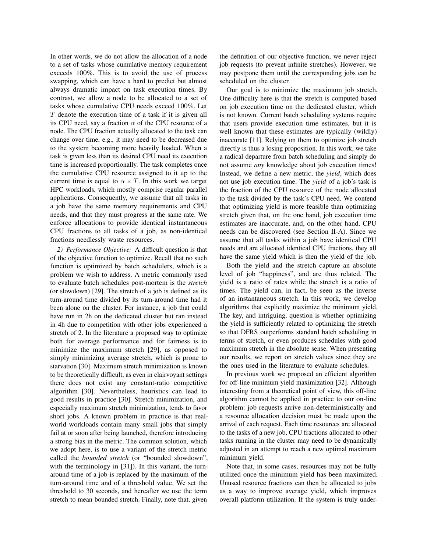In other words, we do not allow the allocation of a node to a set of tasks whose cumulative memory requirement exceeds 100%. This is to avoid the use of process swapping, which can have a hard to predict but almost always dramatic impact on task execution times. By contrast, we allow a node to be allocated to a set of tasks whose cumulative CPU needs exceed 100%. Let  $T$  denote the execution time of a task if it is given all its CPU need, say a fraction  $\alpha$  of the CPU resource of a node. The CPU fraction actually allocated to the task can change over time, e.g., it may need to be decreased due to the system becoming more heavily loaded. When a task is given less than its desired CPU need its execution time is increased proportionally. The task completes once the cumulative CPU resource assigned to it up to the current time is equal to  $\alpha \times T$ . In this work we target HPC workloads, which mostly comprise regular parallel applications. Consequently, we assume that all tasks in a job have the same memory requirements and CPU needs, and that they must progress at the same rate. We enforce allocations to provide identical instantaneous CPU fractions to all tasks of a job, as non-identical fractions needlessly waste resources.

*2) Performance Objective:* A difficult question is that of the objective function to optimize. Recall that no such function is optimized by batch schedulers, which is a problem we wish to address. A metric commonly used to evaluate batch schedules post-mortem is the *stretch* (or slowdown) [29]. The stretch of a job is defined as its turn-around time divided by its turn-around time had it been alone on the cluster. For instance, a job that could have run in 2h on the dedicated cluster but ran instead in 4h due to competition with other jobs experienced a stretch of 2. In the literature a proposed way to optimize both for average performance and for fairness is to minimize the maximum stretch [29], as opposed to simply minimizing average stretch, which is prone to starvation [30]. Maximum stretch minimization is known to be theoretically difficult, as even in clairvoyant settings there does not exist any constant-ratio competitive algorithm [30]. Nevertheless, heuristics can lead to good results in practice [30]. Stretch minimization, and especially maximum stretch minimization, tends to favor short jobs. A known problem in practice is that realworld workloads contain many small jobs that simply fail at or soon after being launched, therefore introducing a strong bias in the metric. The common solution, which we adopt here, is to use a variant of the stretch metric called the *bounded stretch* (or "bounded slowdown", with the terminology in [31]). In this variant, the turnaround time of a job is replaced by the maximum of the turn-around time and of a threshold value. We set the threshold to 30 seconds, and hereafter we use the term stretch to mean bounded stretch. Finally, note that, given

the definition of our objective function, we never reject job requests (to prevent infinite stretches). However, we may postpone them until the corresponding jobs can be scheduled on the cluster.

Our goal is to minimize the maximum job stretch. One difficulty here is that the stretch is computed based on job execution time on the dedicated cluster, which is not known. Current batch scheduling systems require that users provide execution time estimates, but it is well known that these estimates are typically (wildly) inaccurate [11]. Relying on them to optimize job stretch directly is thus a losing proposition. In this work, we take a radical departure from batch scheduling and simply do not assume *any* knowledge about job execution times! Instead, we define a new metric, the *yield*, which does not use job execution time. The *yield* of a job's task is the fraction of the CPU resource of the node allocated to the task divided by the task's CPU need. We contend that optimizing yield is more feasible than optimizing stretch given that, on the one hand, job execution time estimates are inaccurate, and, on the other hand, CPU needs can be discovered (see Section II-A). Since we assume that all tasks within a job have identical CPU needs and are allocated identical CPU fractions, they all have the same yield which is then the yield of the job.

Both the yield and the stretch capture an absolute level of job "happiness", and are thus related. The yield is a ratio of rates while the stretch is a ratio of times. The yield can, in fact, be seen as the inverse of an instantaneous stretch. In this work, we develop algorithms that explicitly maximize the minimum yield. The key, and intriguing, question is whether optimizing the yield is sufficiently related to optimizing the stretch so that DFRS outperforms standard batch scheduling in terms of stretch, or even produces schedules with good maximum stretch in the absolute sense. When presenting our results, we report on stretch values since they are the ones used in the literature to evaluate schedules.

In previous work we proposed an efficient algorithm for off-line minimum yield maximization [32]. Although interesting from a theoretical point of view, this off-line algorithm cannot be applied in practice to our on-line problem: job requests arrive non-deterministically and a resource allocation decision must be made upon the arrival of each request. Each time resources are allocated to the tasks of a new job, CPU fractions allocated to other tasks running in the cluster may need to be dynamically adjusted in an attempt to reach a new optimal maximum minimum yield.

Note that, in some cases, resources may not be fully utilized once the minimum yield has been maximized. Unused resource fractions can then be allocated to jobs as a way to improve average yield, which improves overall platform utilization. If the system is truly under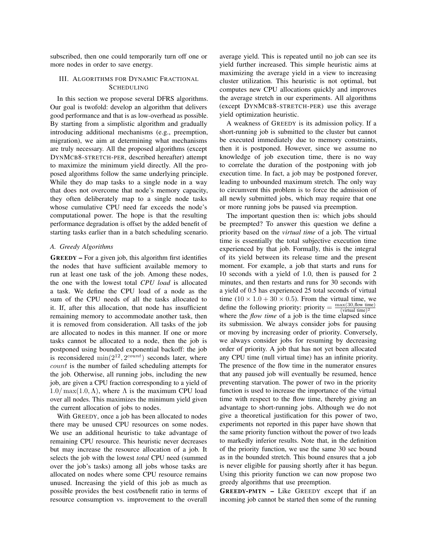subscribed, then one could temporarily turn off one or more nodes in order to save energy.

# III. ALGORITHMS FOR DYNAMIC FRACTIONAL **SCHEDULING**

In this section we propose several DFRS algorithms. Our goal is twofold: develop an algorithm that delivers good performance and that is as low-overhead as possible. By starting from a simplistic algorithm and gradually introducing additional mechanisms (e.g., preemption, migration), we aim at determining what mechanisms are truly necessary. All the proposed algorithms (except DYNMCB8-STRETCH-PER, described hereafter) attempt to maximize the minimum yield directly. All the proposed algorithms follow the same underlying principle. While they do map tasks to a single node in a way that does not overcome that node's memory capacity, they often deliberately map to a single node tasks whose cumulative CPU need far exceeds the node's computational power. The hope is that the resulting performance degradation is offset by the added benefit of starting tasks earlier than in a batch scheduling scenario.

## *A. Greedy Algorithms*

GREEDY – For a given job, this algorithm first identifies the nodes that have sufficient available memory to run at least one task of the job. Among these nodes, the one with the lowest total *CPU load* is allocated a task. We define the CPU load of a node as the sum of the CPU needs of all the tasks allocated to it. If, after this allocation, that node has insufficient remaining memory to accommodate another task, then it is removed from consideration. All tasks of the job are allocated to nodes in this manner. If one or more tasks cannot be allocated to a node, then the job is postponed using bounded exponential backoff: the job is reconsidered  $\min(2^{12}, 2^{count})$  seconds later, where count is the number of failed scheduling attempts for the job. Otherwise, all running jobs, including the new job, are given a CPU fraction corresponding to a yield of  $1.0/\max(1.0,\Lambda)$ , where  $\Lambda$  is the maximum CPU load over all nodes. This maximizes the minimum yield given the current allocation of jobs to nodes.

With GREEDY, once a job has been allocated to nodes there may be unused CPU resources on some nodes. We use an additional heuristic to take advantage of remaining CPU resource. This heuristic never decreases but may increase the resource allocation of a job. It selects the job with the lowest *total* CPU need (summed over the job's tasks) among all jobs whose tasks are allocated on nodes where some CPU resource remains unused. Increasing the yield of this job as much as possible provides the best cost/benefit ratio in terms of resource consumption vs. improvement to the overall

average yield. This is repeated until no job can see its yield further increased. This simple heuristic aims at maximizing the average yield in a view to increasing cluster utilization. This heuristic is not optimal, but computes new CPU allocations quickly and improves the average stretch in our experiments. All algorithms (except DYNMCB8-STRETCH-PER) use this average yield optimization heuristic.

A weakness of GREEDY is its admission policy. If a short-running job is submitted to the cluster but cannot be executed immediately due to memory constraints, then it is postponed. However, since we assume no knowledge of job execution time, there is no way to correlate the duration of the postponing with job execution time. In fact, a job may be postponed forever, leading to unbounded maximum stretch. The only way to circumvent this problem is to force the admission of all newly submitted jobs, which may require that one or more running jobs be paused via preemption.

The important question then is: which jobs should be preempted? To answer this question we define a priority based on the *virtual time* of a job. The virtual time is essentially the total subjective execution time experienced by that job. Formally, this is the integral of its yield between its release time and the present moment. For example, a job that starts and runs for 10 seconds with a yield of 1.0, then is paused for 2 minutes, and then restarts and runs for 30 seconds with a yield of 0.5 has experienced 25 total seconds of virtual time  $(10 \times 1.0 + 30 \times 0.5)$ . From the virtual time, we define the following priority: priority =  $\frac{\max(30, \text{flow time})}{(\text{virtual time})^2}$  $(virtual time)<sup>2</sup>$ where the *flow time* of a job is the time elapsed since its submission. We always consider jobs for pausing or moving by increasing order of priority. Conversely, we always consider jobs for resuming by decreasing order of priority. A job that has not yet been allocated any CPU time (null virtual time) has an infinite priority. The presence of the flow time in the numerator ensures that any paused job will eventually be resumed, hence preventing starvation. The power of two in the priority function is used to increase the importance of the virtual time with respect to the flow time, thereby giving an advantage to short-running jobs. Although we do not give a theoretical justification for this power of two, experiments not reported in this paper have shown that the same priority function without the power of two leads to markedly inferior results. Note that, in the definition of the priority function, we use the same 30 sec bound as in the bounded stretch. This bound ensures that a job is never eligible for pausing shortly after it has begun. Using this priority function we can now propose two greedy algorithms that use preemption.

GREEDY-PMTN – Like GREEDY except that if an incoming job cannot be started then some of the running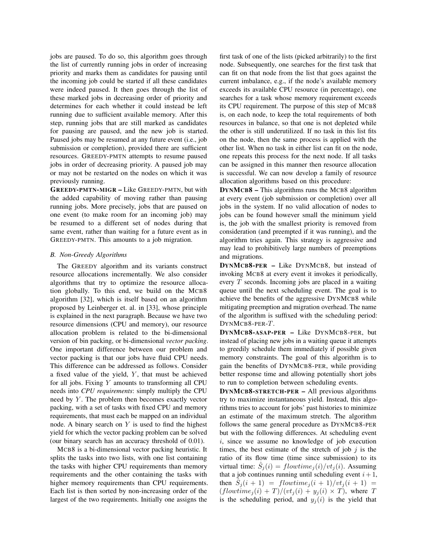jobs are paused. To do so, this algorithm goes through the list of currently running jobs in order of increasing priority and marks them as candidates for pausing until the incoming job could be started if all these candidates were indeed paused. It then goes through the list of these marked jobs in decreasing order of priority and determines for each whether it could instead be left running due to sufficient available memory. After this step, running jobs that are still marked as candidates for pausing are paused, and the new job is started. Paused jobs may be resumed at any future event (i.e., job submission or completion), provided there are sufficient resources. GREEDY-PMTN attempts to resume paused jobs in order of decreasing priority. A paused job may or may not be restarted on the nodes on which it was previously running.

GREEDY-PMTN-MIGR – Like GREEDY-PMTN, but with the added capability of moving rather than pausing running jobs. More precisely, jobs that are paused on one event (to make room for an incoming job) may be resumed to a different set of nodes during that same event, rather than waiting for a future event as in GREEDY-PMTN. This amounts to a job migration.

# *B. Non-Greedy Algorithms*

The GREEDY algorithm and its variants construct resource allocations incrementally. We also consider algorithms that try to optimize the resource allocation globally. To this end, we build on the MCB8 algorithm [32], which is itself based on an algorithm proposed by Leinberger et. al. in [33], whose principle is explained in the next paragraph. Because we have two resource dimensions (CPU and memory), our resource allocation problem is related to the bi-dimensional version of bin packing, or bi-dimensional *vector packing*. One important difference between our problem and vector packing is that our jobs have fluid CPU needs. This difference can be addressed as follows. Consider a fixed value of the yield,  $Y$ , that must be achieved for all jobs. Fixing  $Y$  amounts to transforming all CPU needs into *CPU requirements*: simply multiply the CPU need by  $Y$ . The problem then becomes exactly vector packing, with a set of tasks with fixed CPU and memory requirements, that must each be mapped on an individual node. A binary search on  $Y$  is used to find the highest yield for which the vector packing problem can be solved (our binary search has an accuracy threshold of 0.01).

MCB8 is a bi-dimensional vector packing heuristic. It splits the tasks into two lists, with one list containing the tasks with higher CPU requirements than memory requirements and the other containing the tasks with higher memory requirements than CPU requirements. Each list is then sorted by non-increasing order of the largest of the two requirements. Initially one assigns the first task of one of the lists (picked arbitrarily) to the first node. Subsequently, one searches for the first task that can fit on that node from the list that goes against the current imbalance, e.g., if the node's available memory exceeds its available CPU resource (in percentage), one searches for a task whose memory requirement exceeds its CPU requirement. The purpose of this step of MCB8 is, on each node, to keep the total requirements of both resources in balance, so that one is not depleted while the other is still underutilized. If no task in this list fits on the node, then the same process is applied with the other list. When no task in either list can fit on the node, one repeats this process for the next node. If all tasks can be assigned in this manner then resource allocation is successful. We can now develop a family of resource allocation algorithms based on this procedure:

DYNMCB8 – This algorithms runs the MCB8 algorithm at every event (job submission or completion) over all jobs in the system. If no valid allocation of nodes to jobs can be found however small the minimum yield is, the job with the smallest priority is removed from consideration (and preempted if it was running), and the algorithm tries again. This strategy is aggressive and may lead to prohibitively large numbers of preemptions and migrations.

DYNMCB8-PER – Like DYNMCB8, but instead of invoking MCB8 at every event it invokes it periodically, every  $T$  seconds. Incoming jobs are placed in a waiting queue until the next scheduling event. The goal is to achieve the benefits of the aggressive DYNMCB8 while mitigating preemption and migration overhead. The name of the algorithm is suffixed with the scheduling period: DYNMCB8-PER-T.

DYNMCB8-ASAP-PER – Like DYNMCB8-PER, but instead of placing new jobs in a waiting queue it attempts to greedily schedule them immediately if possible given memory constraints. The goal of this algorithm is to gain the benefits of DYNMCB8-PER, while providing better response time and allowing potentially short jobs to run to completion between scheduling events.

DYNMCB8-STRETCH-PER – All previous algorithms try to maximize instantaneous yield. Instead, this algorithms tries to account for jobs' past histories to minimize an estimate of the maximum stretch. The algorithm follows the same general procedure as DYNMCB8-PER but with the following differences. At scheduling event i, since we assume no knowledge of job execution times, the best estimate of the stretch of job  $j$  is the ratio of its flow time (time since submission) to its virtual time:  $\hat{S}_j(i) = flowtime_j(i)/vt_j(i)$ . Assuming that a job continues running until scheduling event  $i + 1$ , then  $\tilde{S}_j(i + 1) = flowtime_j(i + 1)/vt_j(i + 1) =$  $(flowtime_i(i) + T)/(vt_i(i) + y_i(i) \times T)$ , where T is the scheduling period, and  $y_i(i)$  is the yield that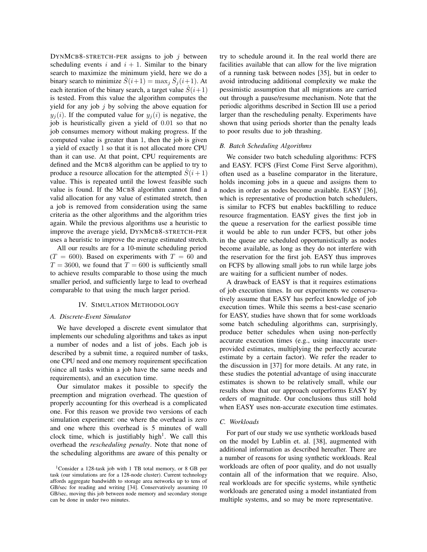DYNMCB8-STRETCH-PER assigns to job  $j$  between scheduling events i and  $i + 1$ . Similar to the binary search to maximize the minimum yield, here we do a binary search to minimize  $\hat{S}(i+1) = \max_j \hat{S}_j(i+1)$ . At each iteration of the binary search, a target value  $\hat{S}(i+1)$ is tested. From this value the algorithm computes the yield for any job  $j$  by solving the above equation for  $y_j(i)$ . If the computed value for  $y_j(i)$  is negative, the job is heuristically given a yield of 0.01 so that no job consumes memory without making progress. If the computed value is greater than 1, then the job is given a yield of exactly 1 so that it is not allocated more CPU than it can use. At that point, CPU requirements are defined and the MCB8 algorithm can be applied to try to produce a resource allocation for the attempted  $\hat{S}(i+1)$ value. This is repeated until the lowest feasible such value is found. If the MCB8 algorithm cannot find a valid allocation for any value of estimated stretch, then a job is removed from consideration using the same criteria as the other algorithms and the algorithm tries again. While the previous algorithms use a heuristic to improve the average yield, DYNMCB8-STRETCH-PER uses a heuristic to improve the average estimated stretch.

All our results are for a 10-minute scheduling period  $(T = 600)$ . Based on experiments with  $T = 60$  and  $T = 3600$ , we found that  $T = 600$  is sufficiently small to achieve results comparable to those using the much smaller period, and sufficiently large to lead to overhead comparable to that using the much larger period.

#### IV. SIMULATION METHODOLOGY

#### *A. Discrete-Event Simulator*

We have developed a discrete event simulator that implements our scheduling algorithms and takes as input a number of nodes and a list of jobs. Each job is described by a submit time, a required number of tasks, one CPU need and one memory requirement specification (since all tasks within a job have the same needs and requirements), and an execution time.

Our simulator makes it possible to specify the preemption and migration overhead. The question of properly accounting for this overhead is a complicated one. For this reason we provide two versions of each simulation experiment: one where the overhead is zero and one where this overhead is 5 minutes of wall clock time, which is justifiably high<sup>1</sup>. We call this overhead the *rescheduling penalty*. Note that none of the scheduling algorithms are aware of this penalty or try to schedule around it. In the real world there are facilities available that can allow for the live migration of a running task between nodes [35], but in order to avoid introducing additional complexity we make the pessimistic assumption that all migrations are carried out through a pause/resume mechanism. Note that the periodic algorithms described in Section III use a period larger than the rescheduling penalty. Experiments have shown that using periods shorter than the penalty leads to poor results due to job thrashing.

### *B. Batch Scheduling Algorithms*

We consider two batch scheduling algorithms: FCFS and EASY. FCFS (First Come First Serve algorithm), often used as a baseline comparator in the literature, holds incoming jobs in a queue and assigns them to nodes in order as nodes become available. EASY [36], which is representative of production batch schedulers, is similar to FCFS but enables backfilling to reduce resource fragmentation. EASY gives the first job in the queue a reservation for the earliest possible time it would be able to run under FCFS, but other jobs in the queue are scheduled opportunistically as nodes become available, as long as they do not interfere with the reservation for the first job. EASY thus improves on FCFS by allowing small jobs to run while large jobs are waiting for a sufficient number of nodes.

A drawback of EASY is that it requires estimations of job execution times. In our experiments we conservatively assume that EASY has perfect knowledge of job execution times. While this seems a best-case scenario for EASY, studies have shown that for some workloads some batch scheduling algorithms can, surprisingly, produce better schedules when using non-perfectly accurate execution times (e.g., using inaccurate userprovided estimates, multiplying the perfectly accurate estimate by a certain factor). We refer the reader to the discussion in [37] for more details. At any rate, in these studies the potential advantage of using inaccurate estimates is shown to be relatively small, while our results show that our approach outperforms EASY by orders of magnitude. Our conclusions thus still hold when EASY uses non-accurate execution time estimates.

#### *C. Workloads*

For part of our study we use synthetic workloads based on the model by Lublin et. al. [38], augmented with additional information as described hereafter. There are a number of reasons for using synthetic workloads. Real workloads are often of poor quality, and do not usually contain all of the information that we require. Also, real workloads are for specific systems, while synthetic workloads are generated using a model instantiated from multiple systems, and so may be more representative.

<sup>1</sup>Consider a 128-task job with 1 TB total memory, or 8 GB per task (our simulations are for a 128-node cluster). Current technology affords aggregate bandwidth to storage area networks up to tens of GB/sec for reading and writing [34]. Conservatively assuming 10 GB/sec, moving this job between node memory and secondary storage can be done in under two minutes.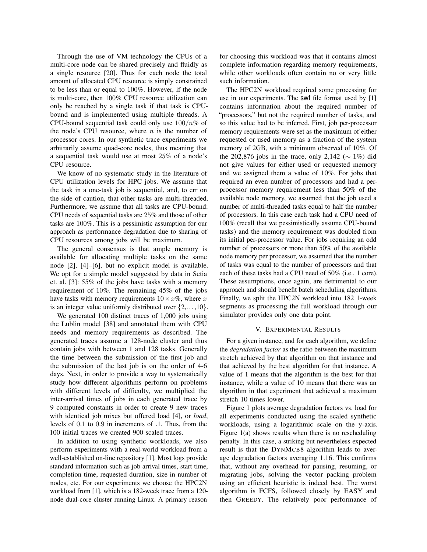Through the use of VM technology the CPUs of a multi-core node can be shared precisely and fluidly as a single resource [20]. Thus for each node the total amount of allocated CPU resource is simply constrained to be less than or equal to 100%. However, if the node is multi-core, then 100% CPU resource utilization can only be reached by a single task if that task is CPUbound and is implemented using multiple threads. A CPU-bound sequential task could only use  $100/n\%$  of the node's CPU resource, where  $n$  is the number of processor cores. In our synthetic trace experiments we arbitrarily assume quad-core nodes, thus meaning that a sequential task would use at most 25% of a node's CPU resource.

We know of no systematic study in the literature of CPU utilization levels for HPC jobs. We assume that the task in a one-task job is sequential, and, to err on the side of caution, that other tasks are multi-threaded. Furthermore, we assume that all tasks are CPU-bound: CPU needs of sequential tasks are 25% and those of other tasks are 100%. This is a pessimistic assumption for our approach as performance degradation due to sharing of CPU resources among jobs will be maximum.

The general consensus is that ample memory is available for allocating multiple tasks on the same node [2], [4]–[6], but no explicit model is available. We opt for a simple model suggested by data in Setia et. al. [3]: 55% of the jobs have tasks with a memory requirement of 10%. The remaining 45% of the jobs have tasks with memory requirements  $10 \times x\%$ , where x is an integer value uniformly distributed over  $\{2,\ldots,10\}$ .

We generated 100 distinct traces of 1,000 jobs using the Lublin model [38] and annotated them with CPU needs and memory requirements as described. The generated traces assume a 128-node cluster and thus contain jobs with between 1 and 128 tasks. Generally the time between the submission of the first job and the submission of the last job is on the order of 4-6 days. Next, in order to provide a way to systematically study how different algorithms perform on problems with different levels of difficulty, we multiplied the inter-arrival times of jobs in each generated trace by 9 computed constants in order to create 9 new traces with identical job mixes but offered load [4], or *load*, levels of 0.1 to 0.9 in increments of .1. Thus, from the 100 initial traces we created 900 scaled traces.

In addition to using synthetic workloads, we also perform experiments with a real-world workload from a well-established on-line repository [1]. Most logs provide standard information such as job arrival times, start time, completion time, requested duration, size in number of nodes, etc. For our experiments we choose the HPC2N workload from [1], which is a 182-week trace from a 120 node dual-core cluster running Linux. A primary reason

for choosing this workload was that it contains almost complete information regarding memory requirements, while other workloads often contain no or very little such information.

The HPC2N workload required some processing for use in our experiments. The swf file format used by [1] contains information about the required number of "processors," but not the required number of tasks, and so this value had to be inferred. First, job per-processor memory requirements were set as the maximum of either requested or used memory as a fraction of the system memory of 2GB, with a minimum observed of 10%. Of the 202,876 jobs in the trace, only 2,142 ( $\sim$  1%) did not give values for either used or requested memory and we assigned them a value of 10%. For jobs that required an even number of processors and had a perprocessor memory requirement less than 50% of the available node memory, we assumed that the job used a number of multi-threaded tasks equal to half the number of processors. In this case each task had a CPU need of 100% (recall that we pessimistically assume CPU-bound tasks) and the memory requirement was doubled from its initial per-processor value. For jobs requiring an odd number of processors or more than 50% of the available node memory per processor, we assumed that the number of tasks was equal to the number of processors and that each of these tasks had a CPU need of 50% (i.e., 1 core). These assumptions, once again, are detrimental to our approach and should benefit batch scheduling algorithms. Finally, we split the HPC2N workload into 182 1-week segments as processing the full workload through our simulator provides only one data point.

### V. EXPERIMENTAL RESULTS

For a given instance, and for each algorithm, we define the *degradation factor* as the ratio between the maximum stretch achieved by that algorithm on that instance and that achieved by the best algorithm for that instance. A value of 1 means that the algorithm is the best for that instance, while a value of 10 means that there was an algorithm in that experiment that achieved a maximum stretch 10 times lower.

Figure 1 plots average degradation factors vs. load for all experiments conducted using the scaled synthetic workloads, using a logarithmic scale on the y-axis. Figure 1(a) shows results when there is no rescheduling penalty. In this case, a striking but nevertheless expected result is that the DYNMCB8 algorithm leads to average degradation factors averaging 1.16. This confirms that, without any overhead for pausing, resuming, or migrating jobs, solving the vector packing problem using an efficient heuristic is indeed best. The worst algorithm is FCFS, followed closely by EASY and then GREEDY. The relatively poor performance of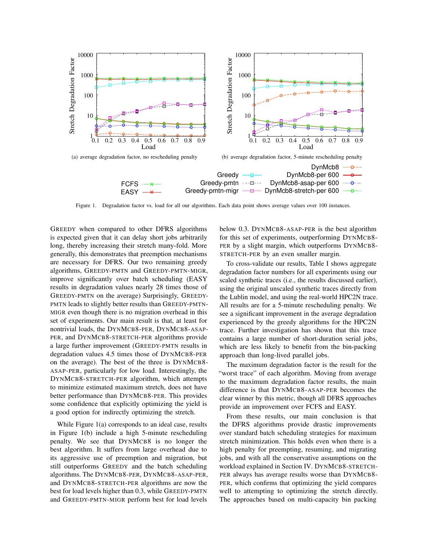

Figure 1. Degradation factor vs. load for all our algorithms. Each data point shows average values over 100 instances.

GREEDY when compared to other DFRS algorithms is expected given that it can delay short jobs arbitrarily long, thereby increasing their stretch many-fold. More generally, this demonstrates that preemption mechanisms are necessary for DFRS. Our two remaining greedy algorithms, GREEDY-PMTN and GREEDY-PMTN-MIGR, improve significantly over batch scheduling (EASY results in degradation values nearly 28 times those of GREEDY-PMTN on the average) Surprisingly, GREEDY-PMTN leads to slightly better results than GREEDY-PMTN-MIGR even though there is no migration overhead in this set of experiments. Our main result is that, at least for nontrivial loads, the DYNMCB8-PER, DYNMCB8-ASAP-PER, and DYNMCB8-STRETCH-PER algorithms provide a large further improvement (GREEDY-PMTN results in degradation values 4.5 times those of DYNMCB8-PER on the average). The best of the three is DYNMCB8- ASAP-PER, particularly for low load. Interestingly, the DYNMCB8-STRETCH-PER algorithm, which attempts to minimize estimated maximum stretch, does not have better performance than DYNMCB8-PER. This provides some confidence that explicitly optimizing the yield is a good option for indirectly optimizing the stretch.

While Figure 1(a) corresponds to an ideal case, results in Figure 1(b) include a high 5-minute rescheduling penalty. We see that DYNMCB8 is no longer the best algorithm. It suffers from large overhead due to its aggressive use of preemption and migration, but still outperforms GREEDY and the batch scheduling algorithms. The DYNMCB8-PER, DYNMCB8-ASAP-PER, and DYNMCB8-STRETCH-PER algorithms are now the best for load levels higher than 0.3, while GREEDY-PMTN and GREEDY-PMTN-MIGR perform best for load levels

below 0.3. DYNMCB8-ASAP-PER is the best algorithm for this set of experiments, outperforming DYNMCB8- PER by a slight margin, which outperforms DYNMCB8-STRETCH-PER by an even smaller margin.

To cross-validate our results, Table I shows aggregate degradation factor numbers for all experiments using our scaled synthetic traces (i.e., the results discussed earlier), using the original unscaled synthetic traces directly from the Lublin model, and using the real-world HPC2N trace. All results are for a 5-minute rescheduling penalty. We see a significant improvement in the average degradation experienced by the greedy algorithms for the HPC2N trace. Further investigation has shown that this trace contains a large number of short-duration serial jobs, which are less likely to benefit from the bin-packing approach than long-lived parallel jobs.

The maximum degradation factor is the result for the "worst trace" of each algorithm. Moving from average to the maximum degradation factor results, the main difference is that DYNMCB8-ASAP-PER becomes the clear winner by this metric, though all DFRS approaches provide an improvement over FCFS and EASY.

From these results, our main conclusion is that the DFRS algorithms provide drastic improvements over standard batch scheduling strategies for maximum stretch minimization. This holds even when there is a high penalty for preempting, resuming, and migrating jobs, and with all the conservative assumptions on the workload explained in Section IV. DYNMCB8-STRETCH-PER always has average results worse than DYNMCB8- PER, which confirms that optimizing the yield compares well to attempting to optimizing the stretch directly. The approaches based on multi-capacity bin packing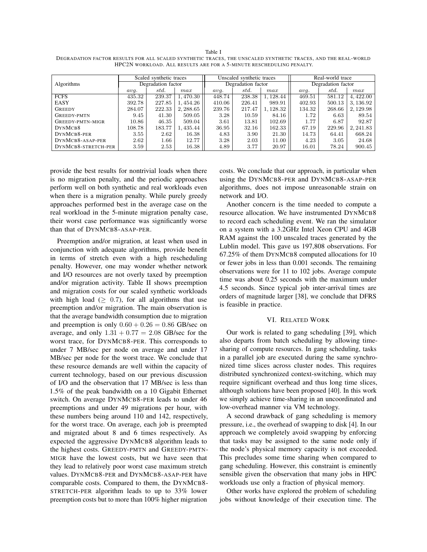Table I

DEGRADATION FACTOR RESULTS FOR ALL SCALED SYNTHETIC TRACES, THE UNSCALED SYNTHETIC TRACES, AND THE REAL-WORLD HPC2N WORKLOAD. ALL RESULTS ARE FOR A 5-MINUTE RESCHEDULING PENALTY.

|                     | Scaled synthetic traces |          |           |        | Unscaled synthetic traces |           | Real-world trace   |        |           |  |
|---------------------|-------------------------|----------|-----------|--------|---------------------------|-----------|--------------------|--------|-----------|--|
| Algorithms          | Degradation factor      |          |           |        | Degradation factor        |           | Degradation factor |        |           |  |
|                     | avq.                    | std.     | max       | avq.   | std.                      | max       | avq.               | std.   | max       |  |
| <b>FCFS</b>         | 435.32                  | 239.37   | 1,470.30  | 448.74 | 238.38                    | 1, 128.44 | 469.51             | 581.12 | 4,422.00  |  |
| EASY                | 392.78                  | 227.85   | 1,454.26  | 410.06 | 226.41                    | 989.91    | 402.93             | 500.13 | 3, 136.92 |  |
| <b>GREEDY</b>       | 284.07                  | 222.33   | 2, 288.65 | 239.76 | 217.47                    | 1, 128.32 | 134.32             | 268.66 | 2, 129.98 |  |
| GREEDY-PMTN         | 9.45                    | 41.30    | 509.05    | 3.28   | 10.59                     | 84.16     | 1.72               | 6.63   | 89.54     |  |
| GREEDY-PMTN-MIGR    | $10.86\,$               | 46.35    | 509.04    | 3.61   | 13.81                     | 102.69    | 1.77               | 6.87   | 92.87     |  |
| DYNMCB8             | 108.78                  | 183.77   | 1,435.44  | 36.95  | 32.16                     | 162.33    | 67.19              | 229.96 | 2, 241.83 |  |
| DYNMCB8-PER         | 3.55                    | 2.62     | 16.38     | 4.83   | 3.90                      | 21.30     | 14.73              | 64.41  | 668.24    |  |
| DYNMCB8-ASAP-PER    | 2.62                    | $1.66\,$ | 12.77     | 3.28   | 2.03                      | 11.00     | 4.23               | 3.05   | 24.68     |  |
| DYNMCB8-STRETCH-PER | 3.59                    | 2.53     | 16.38     | 4.89   | 3.77                      | 20.97     | 16.01              | 78.24  | 900.45    |  |

provide the best results for nontrivial loads when there is no migration penalty, and the periodic approaches perform well on both synthetic and real workloads even when there is a migration penalty. While purely greedy approaches performed best in the average case on the real workload in the 5-minute migration penalty case, their worst case performance was significantly worse than that of DYNMCB8-ASAP-PER.

Preemption and/or migration, at least when used in conjunction with adequate algorithms, provide benefit in terms of stretch even with a high rescheduling penalty. However, one may wonder whether network and I/O resources are not overly taxed by preemption and/or migration activity. Table II shows preemption and migration costs for our scaled synthetic workloads with high load ( $\geq$  0.7), for all algorithms that use preemption and/or migration. The main observation is that the average bandwidth consumption due to migration and preemption is only  $0.60 + 0.26 = 0.86$  GB/sec on average, and only  $1.31 + 0.77 = 2.08$  GB/sec for the worst trace, for DYNMCB8-PER. This corresponds to under 7 MB/sec per node on average and under 17 MB/sec per node for the worst trace. We conclude that these resource demands are well within the capacity of current technology, based on our previous discussion of I/O and the observation that 17 MB/sec is less than 1.5% of the peak bandwidth on a 10 Gigabit Ethernet switch. On average DYNMCB8-PER leads to under 46 preemptions and under 49 migrations per hour, with these numbers being around 110 and 142, respectively, for the worst trace. On average, each job is preempted and migrated about 8 and 6 times respectively. As expected the aggressive DYNMCB8 algorithm leads to the highest costs. GREEDY-PMTN and GREEDY-PMTN-MIGR have the lowest costs, but we have seen that they lead to relatively poor worst case maximum stretch values. DYNMCB8-PER and DYNMCB8-ASAP-PER have comparable costs. Compared to them, the DYNMCB8- STRETCH-PER algorithm leads to up to 33% lower preemption costs but to more than 100% higher migration

costs. We conclude that our approach, in particular when using the DYNMCB8-PER and DYNMCB8-ASAP-PER algorithms, does not impose unreasonable strain on network and I/O.

Another concern is the time needed to compute a resource allocation. We have instrumented DYNMCB8 to record each scheduling event. We ran the simulator on a system with a 3.2GHz Intel Xeon CPU and 4GB RAM against the 100 unscaled traces generated by the Lublin model. This gave us 197,808 observations. For 67.25% of them DYNMCB8 computed allocations for 10 or fewer jobs in less than 0.001 seconds. The remaining observations were for 11 to 102 jobs. Average compute time was about 0.25 seconds with the maximum under 4.5 seconds. Since typical job inter-arrival times are orders of magnitude larger [38], we conclude that DFRS is feasible in practice.

#### VI. RELATED WORK

Our work is related to gang scheduling [39], which also departs from batch scheduling by allowing timesharing of compute resources. In gang scheduling, tasks in a parallel job are executed during the same synchronized time slices across cluster nodes. This requires distributed synchronized context-switching, which may require significant overhead and thus long time slices, although solutions have been proposed [40]. In this work we simply achieve time-sharing in an uncoordinated and low-overhead manner via VM technology.

A second drawback of gang scheduling is memory pressure, i.e., the overhead of swapping to disk [4]. In our approach we completely avoid swapping by enforcing that tasks may be assigned to the same node only if the node's physical memory capacity is not exceeded. This precludes some time sharing when compared to gang scheduling. However, this constraint is eminently sensible given the observation that many jobs in HPC workloads use only a fraction of physical memory.

Other works have explored the problem of scheduling jobs without knowledge of their execution time. The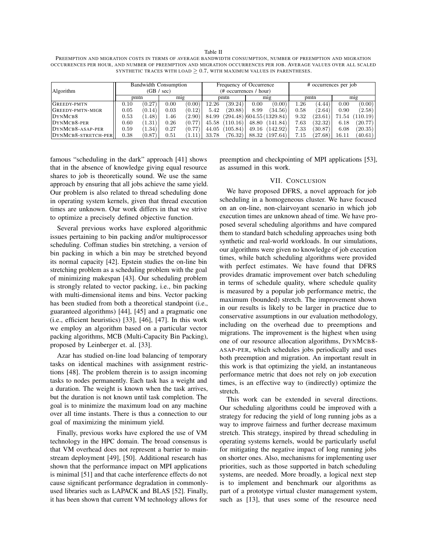Table II PREEMPTION AND MIGRATION COSTS IN TERMS OF AVERAGE BANDWIDTH CONSUMPTION, NUMBER OF PREEMPTION AND MIGRATION OCCURRENCES PER HOUR, AND NUMBER OF PREEMPTION AND MIGRATION OCCURRENCES PER JOB. AVERAGE VALUES OVER ALL SCALED SYNTHETIC TRACES WITH LOAD  $\geq 0.7$ , WITH MAXIMUM VALUES IN PARENTHESES.

| Algorithm           | <b>Bandwidth Consumption</b><br>(GB / sec) |        |      |        | Frequency of Occurrence<br>(# occurrences / hour) |          |       |                           | # occurrences per job |                        |       |          |
|---------------------|--------------------------------------------|--------|------|--------|---------------------------------------------------|----------|-------|---------------------------|-----------------------|------------------------|-------|----------|
|                     | pmtn                                       |        | mig  |        | pmtn                                              |          | mig   |                           | pmtn                  |                        | mig   |          |
| <b>GREEDY-PMTN</b>  | 0.10                                       | (0.27) | 0.00 | (0.00) | 12.26                                             | (39.24)  | 0.00  | (0.00)                    | 26                    | (4.44)                 | 0.00  | (0.00)   |
| GREEDY-PMTN-MIGR    | 0.05                                       | (0.14) | 0.03 | (0.12) | 5.42                                              | (20.88)  | 8.99  | (34.56)                   | 0.58                  | (2.64)                 | 0.90  | (2.58)   |
| DYNMCB8             | $\rm 0.53$                                 | 1.48   | 1.46 | (2.90) | 84.99                                             |          |       | (294.48) 604.55 (1329.84) | 9.32                  | (23.61)                | 71.54 | (110.19) |
| DYNMCB8-PER         | $0.60\,$                                   | 1.31   | 0.26 | (0.77  | 45.58                                             | (110.16) | 48.80 | (141.84)                  | 7.63                  | (32.32)                | 6.18  | (20.77)  |
| DYNMCB8-ASAP-PER    | 0.59                                       | 1.34   | 0.27 | (0.77  | 44.05                                             | 105.84)  | 49.16 | 142.92)                   | 7.33                  | (30.87)                | 6.08  | (20.35)  |
| DYNMCB8-STRETCH-PER | 0.38                                       | (0.87  | 0.51 | 1.11   | 33.78                                             | (76.32)  | 88.32 | 197.64                    | 7.15                  | $\langle 27.68\rangle$ | 16.11 | (40.61)  |

famous "scheduling in the dark" approach [41] shows that in the absence of knowledge giving equal resource shares to job is theoretically sound. We use the same approach by ensuring that all jobs achieve the same yield. Our problem is also related to thread scheduling done in operating system kernels, given that thread execution times are unknown. Our work differs in that we strive to optimize a precisely defined objective function.

Several previous works have explored algorithmic issues pertaining to bin packing and/or multiprocessor scheduling. Coffman studies bin stretching, a version of bin packing in which a bin may be stretched beyond its normal capacity [42]. Epstein studies the on-line bin stretching problem as a scheduling problem with the goal of minimizing makespan [43]. Our scheduling problem is strongly related to vector packing, i.e., bin packing with multi-dimensional items and bins. Vector packing has been studied from both a theoretical standpoint (i.e., guaranteed algorithms) [44], [45] and a pragmatic one (i.e., efficient heuristics) [33], [46], [47]. In this work we employ an algorithm based on a particular vector packing algorithms, MCB (Multi-Capacity Bin Packing), proposed by Leinberger et. al. [33].

Azar has studied on-line load balancing of temporary tasks on identical machines with assignment restrictions [48]. The problem therein is to assign incoming tasks to nodes permanently. Each task has a weight and a duration. The weight is known when the task arrives, but the duration is not known until task completion. The goal is to minimize the maximum load on any machine over all time instants. There is thus a connection to our goal of maximizing the minimum yield.

Finally, previous works have explored the use of VM technology in the HPC domain. The broad consensus is that VM overhead does not represent a barrier to mainstream deployment [49], [50]. Additional research has shown that the performance impact on MPI applications is minimal [51] and that cache interference effects do not cause significant performance degradation in commonlyused libraries such as LAPACK and BLAS [52]. Finally, it has been shown that current VM technology allows for

preemption and checkpointing of MPI applications [53], as assumed in this work.

# VII. CONCLUSION

We have proposed DFRS, a novel approach for job scheduling in a homogeneous cluster. We have focused on an on-line, non-clairvoyant scenario in which job execution times are unknown ahead of time. We have proposed several scheduling algorithms and have compared them to standard batch scheduling approaches using both synthetic and real-world workloads. In our simulations, our algorithms were given no knowledge of job execution times, while batch scheduling algorithms were provided with perfect estimates. We have found that DFRS provides dramatic improvement over batch scheduling in terms of schedule quality, where schedule quality is measured by a popular job performance metric, the maximum (bounded) stretch. The improvement shown in our results is likely to be larger in practice due to conservative assumptions in our evaluation methodology, including on the overhead due to preemptions and migrations. The improvement is the highest when using one of our resource allocation algorithms, DYNMCB8- ASAP-PER, which schedules jobs periodically and uses both preemption and migration. An important result in this work is that optimizing the yield, an instantaneous performance metric that does not rely on job execution times, is an effective way to (indirectly) optimize the stretch.

This work can be extended in several directions. Our scheduling algorithms could be improved with a strategy for reducing the yield of long running jobs as a way to improve fairness and further decrease maximum stretch. This strategy, inspired by thread scheduling in operating systems kernels, would be particularly useful for mitigating the negative impact of long running jobs on shorter ones. Also, mechanisms for implementing user priorities, such as those supported in batch scheduling systems, are needed. More broadly, a logical next step is to implement and benchmark our algorithms as part of a prototype virtual cluster management system, such as [13], that uses some of the resource need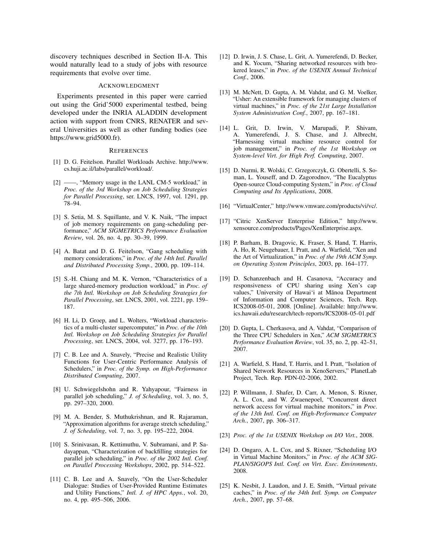discovery techniques described in Section II-A. This would naturally lead to a study of jobs with resource requirements that evolve over time.

#### ACKNOWLEDGMENT

Experiments presented in this paper were carried out using the Grid'5000 experimental testbed, being developed under the INRIA ALADDIN development action with support from CNRS, RENATER and several Universities as well as other funding bodies (see https://www.grid5000.fr).

#### **REFERENCES**

- [1] D. G. Feitelson. Parallel Workloads Archive. http://www. cs.huji.ac.il/labs/parallel/workload/.
- [2] ——, "Memory usage in the LANL CM-5 workload," in *Proc. of the 3rd Workshop on Job Scheduling Strategies for Parallel Processing*, ser. LNCS, 1997, vol. 1291, pp. 78–94.
- [3] S. Setia, M. S. Squillante, and V. K. Naik, "The impact of job memory requirements on gang-scheduling performance," *ACM SIGMETRICS Performance Evaluation Review*, vol. 26, no. 4, pp. 30–39, 1999.
- [4] A. Batat and D. G. Feitelson, "Gang scheduling with memory considerations," in *Proc. of the 14th Intl. Parallel and Distributed Processing Symp.*, 2000, pp. 109–114.
- [5] S.-H. Chiang and M. K. Vernon, "Characteristics of a large shared-memory production workload," in *Proc. of the 7th Intl. Workshop on Job Scheduling Strategies for Parallel Processing*, ser. LNCS, 2001, vol. 2221, pp. 159– 187.
- [6] H. Li, D. Groep, and L. Wolters, "Workload characteristics of a multi-cluster supercomputer," in *Proc. of the 10th Intl. Workshop on Job Scheduling Strategies for Parallel Processing*, ser. LNCS, 2004, vol. 3277, pp. 176–193.
- [7] C. B. Lee and A. Snavely, "Precise and Realistic Utility Functions for User-Centric Performance Analysis of Schedulers," in *Proc. of the Symp. on High-Performance Distributed Computing*, 2007.
- [8] U. Schwiegelshohn and R. Yahyapour, "Fairness in parallel job scheduling," *J. of Scheduling*, vol. 3, no. 5, pp. 297–320, 2000.
- [9] M. A. Bender, S. Muthukrishnan, and R. Rajaraman, "Approximation algorithms for average stretch scheduling," *J. of Scheduling*, vol. 7, no. 3, pp. 195–222, 2004.
- [10] S. Srinivasan, R. Kettimuthu, V. Subramani, and P. Sadayappan, "Characterization of backfilling strategies for parallel job scheduling," in *Proc. of the 2002 Intl. Conf. on Parallel Processing Workshops*, 2002, pp. 514–522.
- [11] C. B. Lee and A. Snavely, "On the User-Scheduler Dialogue: Studies of User-Provided Runtime Estimates and Utility Functions," *Intl. J. of HPC Apps.*, vol. 20, no. 4, pp. 495–506, 2006.
- [12] D. Irwin, J. S. Chase, L. Grit, A. Yumerefendi, D. Becker, and K. Yocum, "Sharing networked resources with brokered leases," in *Proc. of the USENIX Annual Technical Conf.*, 2006.
- [13] M. McNett, D. Gupta, A. M. Vahdat, and G. M. Voelker, "Usher: An extensible framework for managing clusters of virtual machines," in *Proc. of the 21st Large Installation System Administration Conf.*, 2007, pp. 167–181.
- [14] L. Grit, D. Irwin, V. Marupadi, P. Shivam, A. Yumerefendi, J. S. Chase, and J. Albrecht, "Harnessing virtual machine resource control for job management," in *Proc. of the 1st Workshop on System-level Virt. for High Perf. Computing*, 2007.
- [15] D. Nurmi, R. Wolski, C. Grzegorczyk, G. Obertelli, S. Soman, L. Youseff, and D. Zagorodnov, "The Eucalyptus Open-source Cloud-computing System," in *Proc. of Cloud Computing and Its Applications*, 2008.
- [16] "VirtualCenter," http://www.vmware.com/products/vi/vc/.
- [17] "Citric XenServer Enterprise Edition," http://www. xensource.com/products/Pages/XenEnterprise.aspx.
- [18] P. Barham, B. Dragovic, K. Fraser, S. Hand, T. Harris, A. Ho, R. Neugebauer, I. Pratt, and A. Warfield, "Xen and the Art of Virtualization," in *Proc. of the 19th ACM Symp. on Operating System Principles*, 2003, pp. 164–177.
- [19] D. Schanzenbach and H. Casanova, "Accuracy and responsiveness of CPU sharing using Xen's cap values," University of Hawai'i at Mānoa Department of Information and Computer Sciences, Tech. Rep. ICS2008-05-01, 2008. [Online]. Available: http://www. ics.hawaii.edu/research/tech-reports/ICS2008-05-01.pdf
- [20] D. Gupta, L. Cherkasova, and A. Vahdat, "Comparison of the Three CPU Schedulers in Xen," *ACM SIGMETRICS Performance Evaluation Review*, vol. 35, no. 2, pp. 42–51, 2007.
- [21] A. Warfield, S. Hand, T. Harris, and I. Pratt, "Isolation of Shared Network Resources in XenoServers," PlanetLab Project, Tech. Rep. PDN-02-2006, 2002.
- [22] P. Willmann, J. Shafer, D. Carr, A. Menon, S. Rixner, A. L. Cox, and W. Zwaenepoel, "Concurrent direct network access for virtual machine monitors," in *Proc. of the 13th Intl. Conf. on High-Performance Computer Arch.*, 2007, pp. 306–317.
- [23] *Proc. of the 1st USENIX Workshop on I/O Virt.*, 2008.
- [24] D. Ongaro, A. L. Cox, and S. Rixner, "Scheduling I/O in Virtual Machine Monitors," in *Proc. of the ACM SIG-PLAN/SIGOPS Intl. Conf. on Virt. Exec. Environments*, 2008.
- [25] K. Nesbit, J. Laudon, and J. E. Smith, "Virtual private caches," in *Proc. of the 34th Intl. Symp. on Computer Arch.*, 2007, pp. 57–68.